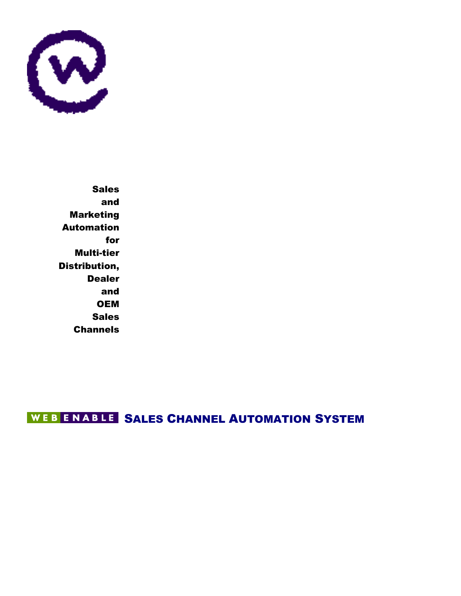

Sales and Marketing Automation for Multi-tier Distribution, Dealer and **OEM Sales Channels** 

WEBENABLE SALES CHANNEL AUTOMATION SYSTEM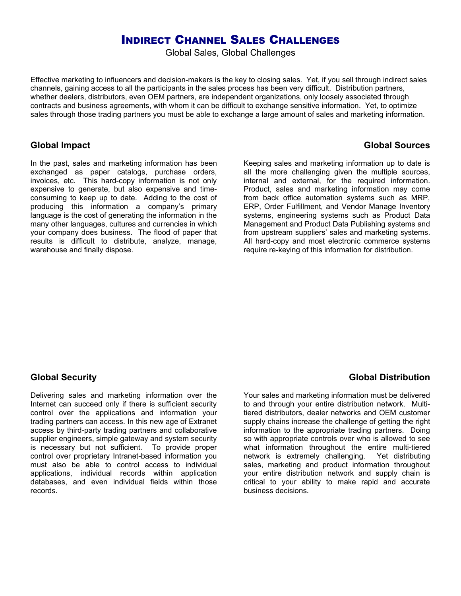## INDIRECT CHANNEL SALES CHALLENGES

Global Sales, Global Challenges

Effective marketing to influencers and decision-makers is the key to closing sales. Yet, if you sell through indirect sales channels, gaining access to all the participants in the sales process has been very difficult. Distribution partners, whether dealers, distributors, even OEM partners, are independent organizations, only loosely associated through contracts and business agreements, with whom it can be difficult to exchange sensitive information. Yet, to optimize sales through those trading partners you must be able to exchange a large amount of sales and marketing information.

## **Global Impact**

In the past, sales and marketing information has been exchanged as paper catalogs, purchase orders, invoices, etc. This hard-copy information is not only expensive to generate, but also expensive and timeconsuming to keep up to date. Adding to the cost of producing this information a company's primary language is the cost of generating the information in the many other languages, cultures and currencies in which your company does business. The flood of paper that results is difficult to distribute, analyze, manage, warehouse and finally dispose.

Keeping sales and marketing information up to date is all the more challenging given the multiple sources, internal and external, for the required information. Product, sales and marketing information may come from back office automation systems such as MRP, ERP, Order Fulfillment, and Vendor Manage Inventory systems, engineering systems such as Product Data Management and Product Data Publishing systems and from upstream suppliers' sales and marketing systems. All hard-copy and most electronic commerce systems require re-keying of this information for distribution.

## **Global Security**

Delivering sales and marketing information over the Internet can succeed only if there is sufficient security control over the applications and information your trading partners can access. In this new age of Extranet access by third-party trading partners and collaborative supplier engineers, simple gateway and system security is necessary but not sufficient. To provide proper control over proprietary Intranet-based information you must also be able to control access to individual applications, individual records within application databases, and even individual fields within those records.

## **Global Distribution**

Your sales and marketing information must be delivered to and through your entire distribution network. Multitiered distributors, dealer networks and OEM customer supply chains increase the challenge of getting the right information to the appropriate trading partners. Doing so with appropriate controls over who is allowed to see what information throughout the entire multi-tiered network is extremely challenging. Yet distributing sales, marketing and product information throughout your entire distribution network and supply chain is critical to your ability to make rapid and accurate business decisions.

## **Global Sources**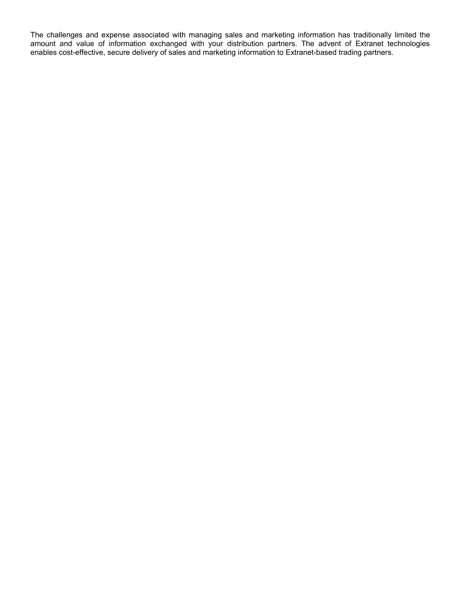The challenges and expense associated with managing sales and marketing information has traditionally limited the amount and value of information exchanged with your distribution partners. The advent of Extranet technologies enables cost-effective, secure delivery of sales and marketing information to Extranet-based trading partners.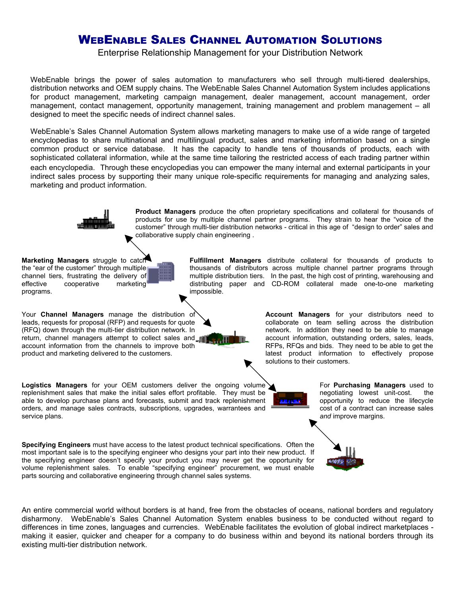# WEBENABLE SALES CHANNEL AUTOMATION SOLUTIONS

Enterprise Relationship Management for your Distribution Network

WebEnable brings the power of sales automation to manufacturers who sell through multi-tiered dealerships, distribution networks and OEM supply chains. The WebEnable Sales Channel Automation System includes applications for product management, marketing campaign management, dealer management, account management, order management, contact management, opportunity management, training management and problem management – all designed to meet the specific needs of indirect channel sales.

WebEnable's Sales Channel Automation System allows marketing managers to make use of a wide range of targeted encyclopedias to share multinational and multilingual product, sales and marketing information based on a single common product or service database. It has the capacity to handle tens of thousands of products, each with sophisticated collateral information, while at the same time tailoring the restricted access of each trading partner within each encyclopedia. Through these encyclopedias you can empower the many internal and external participants in your indirect sales process by supporting their many unique role-specific requirements for managing and analyzing sales, marketing and product information.

impossible.

**Product Managers** produce the often proprietary specifications and collateral for thousands of products for use by multiple channel partner programs. They strain to hear the "voice of the customer" through multi-tier distribution networks - critical in this age of "design to order" sales and collaborative supply chain engineering .

> **Fulfillment Managers** distribute collateral for thousands of products to thousands of distributors across multiple channel partner programs through multiple distribution tiers. In the past, the high cost of printing, warehousing and distributing paper and CD-ROM collateral made one-to-one marketing

**Marketing Managers** struggle to catch the "ear of the customer" through multiple channel tiers, frustrating the delivery of effective cooperative marketing programs.

Your **Channel Managers** manage the distribution of leads, requests for proposal (RFP) and requests for quote (RFQ) down through the multi-tier distribution network. In return, channel managers attempt to collect sales and account information from the channels to improve both product and marketing delivered to the customers.

**Logistics Managers** for your OEM customers deliver the ongoing volume replenishment sales that make the initial sales effort profitable. They must be able to develop purchase plans and forecasts, submit and track replenishment orders, and manage sales contracts, subscriptions, upgrades, warrantees and service plans.

**Account Managers** for your distributors need to collaborate on team selling across the distribution network. In addition they need to be able to manage account information, outstanding orders, sales, leads, RFPs, RFQs and bids. They need to be able to get the latest product information to effectively propose solutions to their customers.

> For **Purchasing Managers** used to negotiating lowest unit-cost. the opportunity to reduce the lifecycle cost of a contract can increase sales *and* improve margins.

**Specifying Engineers** must have access to the latest product technical specifications. Often the most important sale is to the specifying engineer who designs your part into their new product. If the specifying engineer doesn't specify your product you may never get the opportunity for volume replenishment sales. To enable "specifying engineer" procurement, we must enable parts sourcing and collaborative engineering through channel sales systems.

An entire commercial world without borders is at hand, free from the obstacles of oceans, national borders and regulatory disharmony. WebEnable's Sales Channel Automation System enables business to be conducted without regard to differences in time zones, languages and currencies. WebEnable facilitates the evolution of global indirect marketplaces making it easier, quicker and cheaper for a company to do business within and beyond its national borders through its existing multi-tier distribution network.



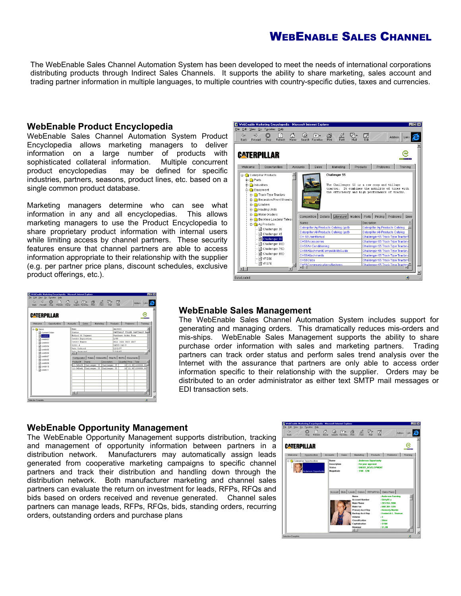# WEBENABLE SALES CHANNEL

The WebEnable Sales Channel Automation System has been developed to meet the needs of international corporations distributing products through Indirect Sales Channels. It supports the ability to share marketing, sales account and trading partner information in multiple languages, to multiple countries with country-specific duties, taxes and currencies.

#### **WebEnable Product Encyclopedia**

WebEnable Sales Channel Automation System Product Encyclopedia allows marketing managers to deliver information on a large number of products with sophisticated collateral information. Multiple concurrent product encyclopedias may be defined for specific industries, partners, seasons, product lines, etc. based on a single common product database.

Marketing managers determine who can see what information in any and all encyclopedias. This allows marketing managers to use the Product Encyclopedia to share proprietary product information with internal users while limiting access by channel partners. These security features ensure that channel partners are able to access information appropriate to their relationship with the supplier (e.g. per partner price plans, discount schedules, exclusive product offerings, etc.).



| <b>CATERPILLAR</b><br><b>PARTITIVE</b><br>Sales<br>Opportunities<br>Accounts<br>Marketing<br>Products<br>Problems<br>Training<br>saith01<br>e a Sales<br>Name<br>PARTIALLY FILLED PARTIALLY BA<br>Status<br>Current Order<br>Method Of Payment<br>Purchase Order Form<br>$\blacksquare$ smith 01<br>2/99<br>Credit Expiration<br>amith02<br>0011 3456 0023 4567<br>Credit Number<br>a smith03<br>CAT05-345-9<br>Order #<br>a smith04<br>12/2/97<br>Date Ordered<br>a smith05<br>12/9/97<br>Date Promised<br>a0dima <b>E</b><br><b>IN</b><br>$\exists$ smith 07<br>Configuration   Totals   Ordered By   Ship To   Bill To   Documents  <br>a smith08<br>Quantity Price Total<br>Description<br>Product#<br>Name<br>a smith09<br>10 10.00 1100000.00<br>12-345a38 Challenger 35 Challenger 35<br>$\exists$ smith 10<br>10 22,00 1200000,00<br>$12 - 345041$<br>Challenger 55<br>Challenger 55<br>a smith11<br>$\mathbb{E}$ | File Edit View Go Favorites Help<br>$\circ$<br>$\Rightarrow$<br>Forward<br><b>Back</b> | m<br>Stop | m<br>Refresh | n<br>Home | Q | ГT-<br>Search Faymber | Ð<br>Pin | Δt<br>Ford | Q∙<br>MAR | 똃 |  | Address Links |  |
|---------------------------------------------------------------------------------------------------------------------------------------------------------------------------------------------------------------------------------------------------------------------------------------------------------------------------------------------------------------------------------------------------------------------------------------------------------------------------------------------------------------------------------------------------------------------------------------------------------------------------------------------------------------------------------------------------------------------------------------------------------------------------------------------------------------------------------------------------------------------------------------------------------------------------|----------------------------------------------------------------------------------------|-----------|--------------|-----------|---|-----------------------|----------|------------|-----------|---|--|---------------|--|
|                                                                                                                                                                                                                                                                                                                                                                                                                                                                                                                                                                                                                                                                                                                                                                                                                                                                                                                           |                                                                                        |           |              |           |   |                       |          |            |           |   |  |               |  |
|                                                                                                                                                                                                                                                                                                                                                                                                                                                                                                                                                                                                                                                                                                                                                                                                                                                                                                                           | Welcome                                                                                |           |              |           |   |                       |          |            |           |   |  |               |  |
|                                                                                                                                                                                                                                                                                                                                                                                                                                                                                                                                                                                                                                                                                                                                                                                                                                                                                                                           |                                                                                        |           |              |           |   |                       |          |            |           |   |  |               |  |

#### **WebEnable Sales Management**

The WebEnable Sales Channel Automation System includes support for generating and managing orders. This dramatically reduces mis-orders and mis-ships. WebEnable Sales Management supports the ability to share purchase order information with sales and marketing partners. Trading partners can track order status and perform sales trend analysis over the Internet with the assurance that partners are only able to access order information specific to their relationship with the supplier. Orders may be distributed to an order administrator as either text SMTP mail messages or EDI transaction sets.

#### **WebEnable Opportunity Management**

The WebEnable Opportunity Management supports distribution, tracking and management of opportunity information between partners in a distribution network. Manufacturers may automatically assign leads generated from cooperative marketing campaigns to specific channel partners and track their distribution and handling down through the distribution network. Both manufacturer marketing and channel sales partners can evaluate the return on investment for leads, RFPs, RFQs and bids based on orders received and revenue generated. Channel sales partners can manage leads, RFPs, RFQs, bids, standing orders, recurring orders, outstanding orders and purchase plans

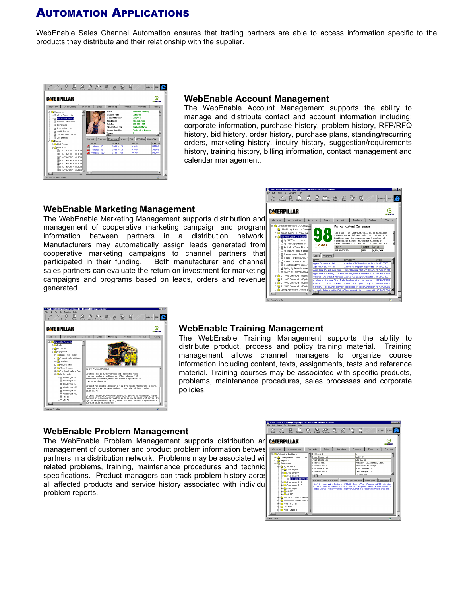# AUTOMATION APPLICATIONS

WebEnable Sales Channel Automation ensures that trading partners are able to access information specific to the products they distribute and their relationship with the supplier.



#### **WebEnable Account Management**

The WebEnable Account Management supports the ability to manage and distribute contact and account information including: corporate information, purchase history, problem history, RFP/RFQ history, bid history, order history, purchase plans, standing/recurring orders, marketing history, inquiry history, suggestion/requirements history, training history, billing information, contact management and calendar management.

### **WebEnable Marketing Management**

The WebEnable Marketing Management supports distribution and management of cooperative marketing campaign and program information between partners in a distribution network. Manufacturers may automatically assign leads generated from cooperative marketing campaigns to channel partners that participated in their funding. Both manufacturer and channel sales partners can evaluate the return on investment for marketing campaigns and programs based on leads, orders and revenue generated.





### **WebEnable Training Management**

The WebEnable Training Management supports the ability to distribute product, process and policy training material. Training management allows channel managers to organize course information including content, texts, assignments, tests and reference material. Training courses may be associated with specific products, problems, maintenance procedures, sales processes and corporate policies.

### **WebEnable Problem Management**

The WebEnable Problem Management supports distribution an **CATERPILLAR** management of customer and product problem information betwee partners in a distribution network. Problems may be associated with related problems, training, maintenance procedures and technic specifications. Product managers can track problem history acros all affected products and service history associated with individu problem reports.

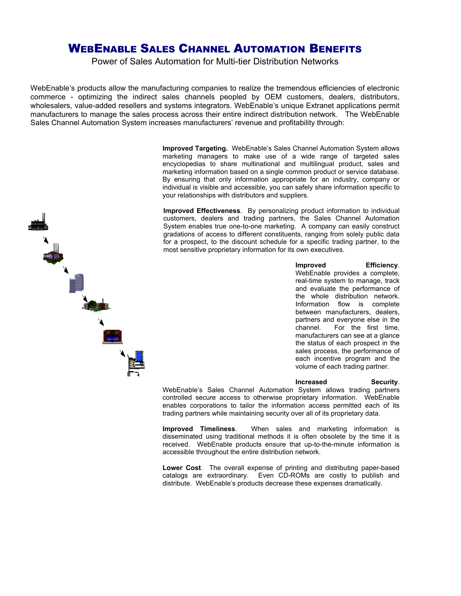## WEBENABLE SALES CHANNEL AUTOMATION BENEFITS

Power of Sales Automation for Multi-tier Distribution Networks

WebEnable's products allow the manufacturing companies to realize the tremendous efficiencies of electronic commerce - optimizing the indirect sales channels peopled by OEM customers, dealers, distributors, wholesalers, value-added resellers and systems integrators. WebEnable's unique Extranet applications permit manufacturers to manage the sales process across their entire indirect distribution network. The WebEnable Sales Channel Automation System increases manufacturers' revenue and profitability through:

> **Improved Targeting.** WebEnable's Sales Channel Automation System allows marketing managers to make use of a wide range of targeted sales encyclopedias to share multinational and multilingual product, sales and marketing information based on a single common product or service database. By ensuring that only information appropriate for an industry, company or individual is visible and accessible, you can safely share information specific to your relationships with distributors and suppliers.

> **Improved Effectiveness**. By personalizing product information to individual customers, dealers and trading partners, the Sales Channel Automation System enables true one-to-one marketing. A company can easily construct gradations of access to different constituents, ranging from solely public data for a prospect, to the discount schedule for a specific trading partner, to the most sensitive proprietary information for its own executives.

> > **Improved Efficiency**. WebEnable provides a complete, real-time system to manage, track and evaluate the performance of the whole distribution network. Information flow is complete between manufacturers, dealers, partners and everyone else in the channel. For the first time, manufacturers can see at a glance the status of each prospect in the sales process, the performance of each incentive program and the volume of each trading partner.

**Increased Security**. WebEnable's Sales Channel Automation System allows trading partners controlled secure access to otherwise proprietary information. WebEnable enables corporations to tailor the information access permitted each of its trading partners while maintaining security over all of its proprietary data.

**Improved Timeliness**. When sales and marketing information is disseminated using traditional methods it is often obsolete by the time it is received. WebEnable products ensure that up-to-the-minute information is accessible throughout the entire distribution network.

**Lower Cost**. The overall expense of printing and distributing paper-based catalogs are extraordinary. Even CD-ROMs are costly to publish and distribute. WebEnable's products decrease these expenses dramatically.

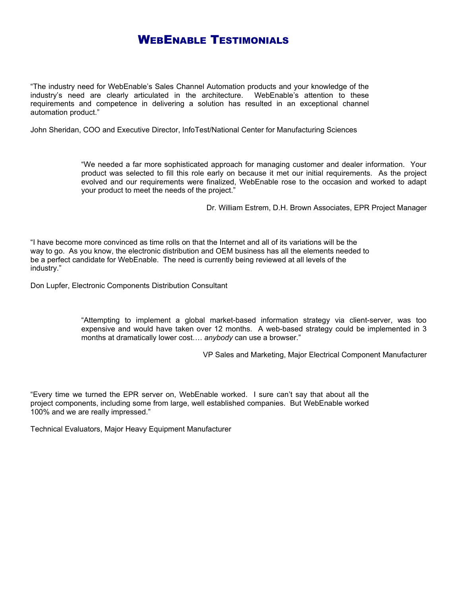## **WEBENABLE TESTIMONIALS**

"The industry need for WebEnable's Sales Channel Automation products and your knowledge of the industry's need are clearly articulated in the architecture. WebEnable's attention to these requirements and competence in delivering a solution has resulted in an exceptional channel automation product."

John Sheridan, COO and Executive Director, InfoTest/National Center for Manufacturing Sciences

"We needed a far more sophisticated approach for managing customer and dealer information. Your product was selected to fill this role early on because it met our initial requirements. As the project evolved and our requirements were finalized, WebEnable rose to the occasion and worked to adapt your product to meet the needs of the project."

Dr. William Estrem, D.H. Brown Associates, EPR Project Manager

"I have become more convinced as time rolls on that the Internet and all of its variations will be the way to go. As you know, the electronic distribution and OEM business has all the elements needed to be a perfect candidate for WebEnable. The need is currently being reviewed at all levels of the industry."

Don Lupfer, Electronic Components Distribution Consultant

"Attempting to implement a global market-based information strategy via client-server, was too expensive and would have taken over 12 months. A web-based strategy could be implemented in 3 months at dramatically lower cost…. *anybody* can use a browser."

VP Sales and Marketing, Major Electrical Component Manufacturer

"Every time we turned the EPR server on, WebEnable worked. I sure can't say that about all the project components, including some from large, well established companies. But WebEnable worked 100% and we are really impressed."

Technical Evaluators, Major Heavy Equipment Manufacturer